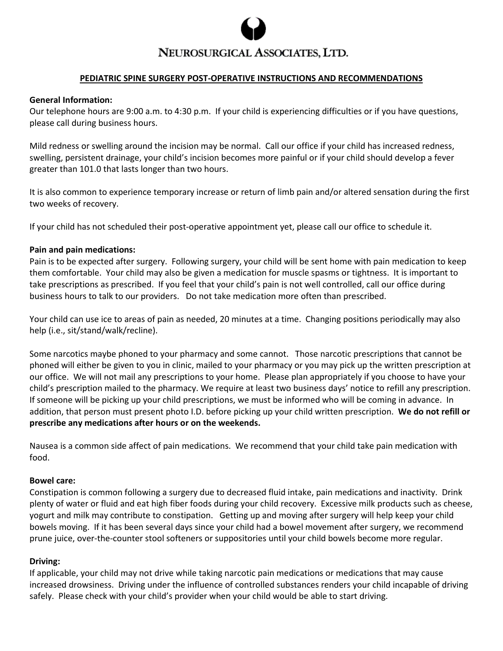

# NEUROSURGICAL ASSOCIATES, LTD.

### **PEDIATRIC SPINE SURGERY POST-OPERATIVE INSTRUCTIONS AND RECOMMENDATIONS**

#### **General Information:**

Our telephone hours are 9:00 a.m. to 4:30 p.m. If your child is experiencing difficulties or if you have questions, please call during business hours.

Mild redness or swelling around the incision may be normal. Call our office if your child has increased redness, swelling, persistent drainage, your child's incision becomes more painful or if your child should develop a fever greater than 101.0 that lasts longer than two hours.

It is also common to experience temporary increase or return of limb pain and/or altered sensation during the first two weeks of recovery.

If your child has not scheduled their post-operative appointment yet, please call our office to schedule it.

### **Pain and pain medications:**

Pain is to be expected after surgery. Following surgery, your child will be sent home with pain medication to keep them comfortable. Your child may also be given a medication for muscle spasms or tightness. It is important to take prescriptions as prescribed. If you feel that your child's pain is not well controlled, call our office during business hours to talk to our providers. Do not take medication more often than prescribed.

Your child can use ice to areas of pain as needed, 20 minutes at a time. Changing positions periodically may also help (i.e., sit/stand/walk/recline).

Some narcotics maybe phoned to your pharmacy and some cannot. Those narcotic prescriptions that cannot be phoned will either be given to you in clinic, mailed to your pharmacy or you may pick up the written prescription at our office. We will not mail any prescriptions to your home. Please plan appropriately if you choose to have your child's prescription mailed to the pharmacy. We require at least two business days' notice to refill any prescription. If someone will be picking up your child prescriptions, we must be informed who will be coming in advance. In addition, that person must present photo I.D. before picking up your child written prescription. **We do not refill or prescribe any medications after hours or on the weekends.** 

Nausea is a common side affect of pain medications. We recommend that your child take pain medication with food.

### **Bowel care:**

Constipation is common following a surgery due to decreased fluid intake, pain medications and inactivity. Drink plenty of water or fluid and eat high fiber foods during your child recovery. Excessive milk products such as cheese, yogurt and milk may contribute to constipation. Getting up and moving after surgery will help keep your child bowels moving. If it has been several days since your child had a bowel movement after surgery, we recommend prune juice, over-the-counter stool softeners or suppositories until your child bowels become more regular.

### **Driving:**

If applicable, your child may not drive while taking narcotic pain medications or medications that may cause increased drowsiness. Driving under the influence of controlled substances renders your child incapable of driving safely. Please check with your child's provider when your child would be able to start driving.